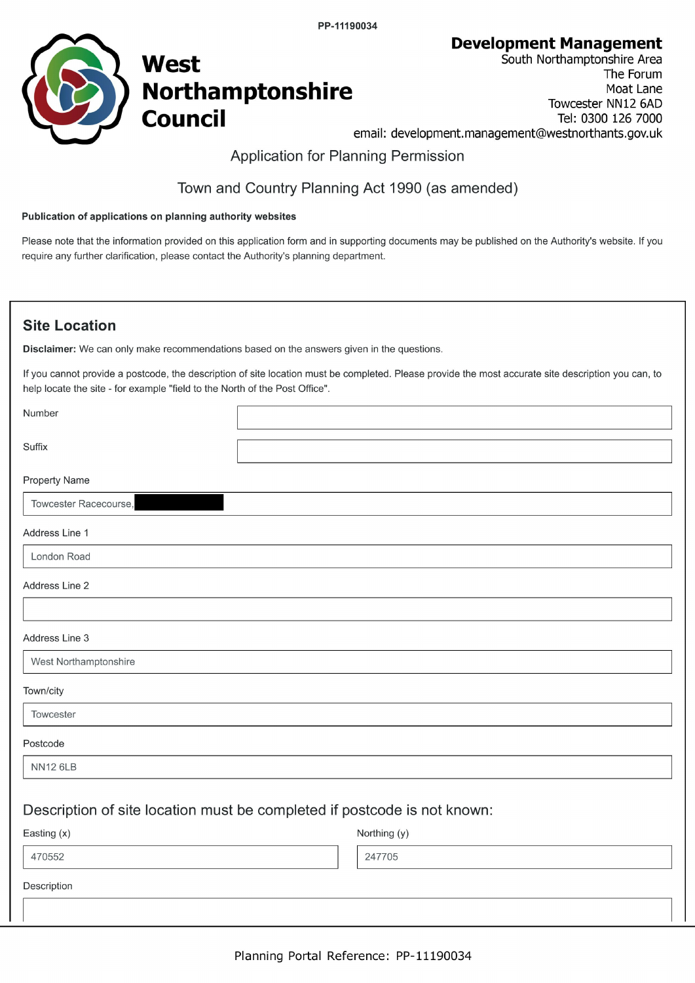PP-11190034

**Development Management** 



South Northamptonshire Area The Forum Moat Lane Towcester NN12 6AD Tel: 0300 126 7000 email: development.management@westnorthants.gov.uk

# **Application for Planning Permission**

# Town and Country Planning Act 1990 (as amended)

#### Publication of applications on planning authority websites

Please note that the information provided on this application form and in supporting documents may be published on the Authority's website. If you require any further clarification, please contact the Authority's planning department.

# **Site Location**

Disclaimer: We can only make recommendations based on the answers given in the questions.

If you cannot provide a postcode, the description of site location must be completed. Please provide the most accurate site description you can, to help locate the site - for example "field to the North of the Post Office".

| Number                |                                                                          |
|-----------------------|--------------------------------------------------------------------------|
| Suffix                |                                                                          |
|                       |                                                                          |
| <b>Property Name</b>  |                                                                          |
| Towcester Racecourse, |                                                                          |
| Address Line 1        |                                                                          |
| London Road           |                                                                          |
| Address Line 2        |                                                                          |
|                       |                                                                          |
| Address Line 3        |                                                                          |
| West Northamptonshire |                                                                          |
| Town/city             |                                                                          |
| Towcester             |                                                                          |
| Postcode              |                                                                          |
| <b>NN12 6LB</b>       |                                                                          |
|                       |                                                                          |
|                       | Description of site location must be completed if postcode is not known: |
| Easting (x)           | Northing (y)                                                             |
| 470552                | 247705                                                                   |
| Description           |                                                                          |
|                       |                                                                          |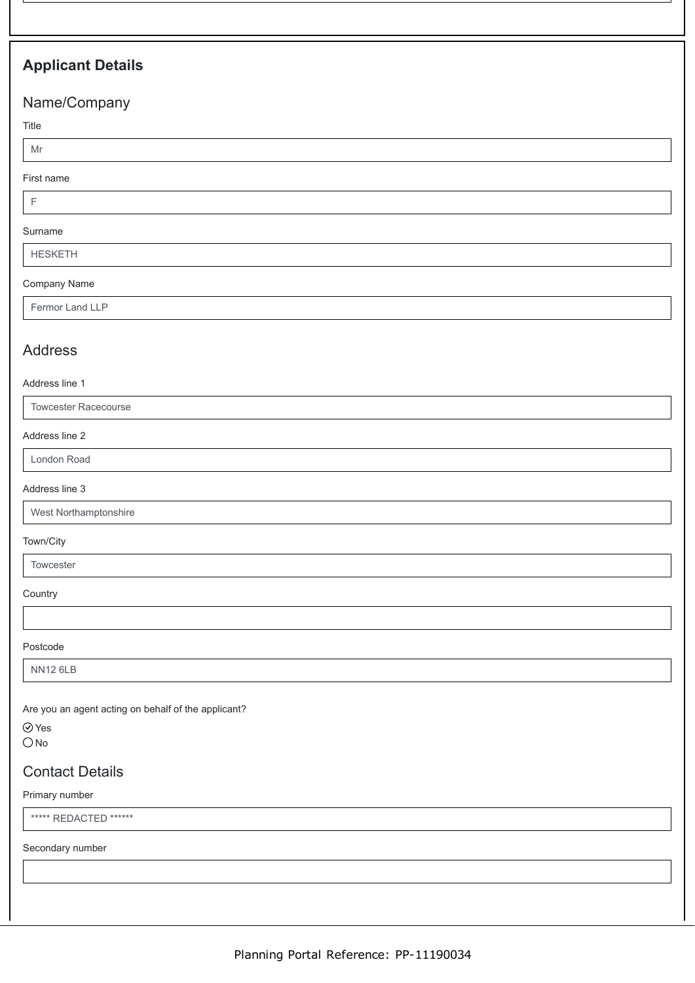# **Applicant Details**

# Name/Company

Title

# Mr

First name

F

#### Surname

HESKETH

#### Company Name

Fermor Land LLP

# Address

Address line 1

Towcester Racecourse

#### Address line 2

London Road

#### Address line 3

West Northamptonshire

#### Town/City

**Towcester** 

**Country** 

Postcode

NN12 6LB

Are you an agent acting on behalf of the applicant?

Yes

 $ONo$ 

# Contact Details

Primary number

\*\*\*\*\*\* REDACTED \*\*\*\*\*\*

Secondary number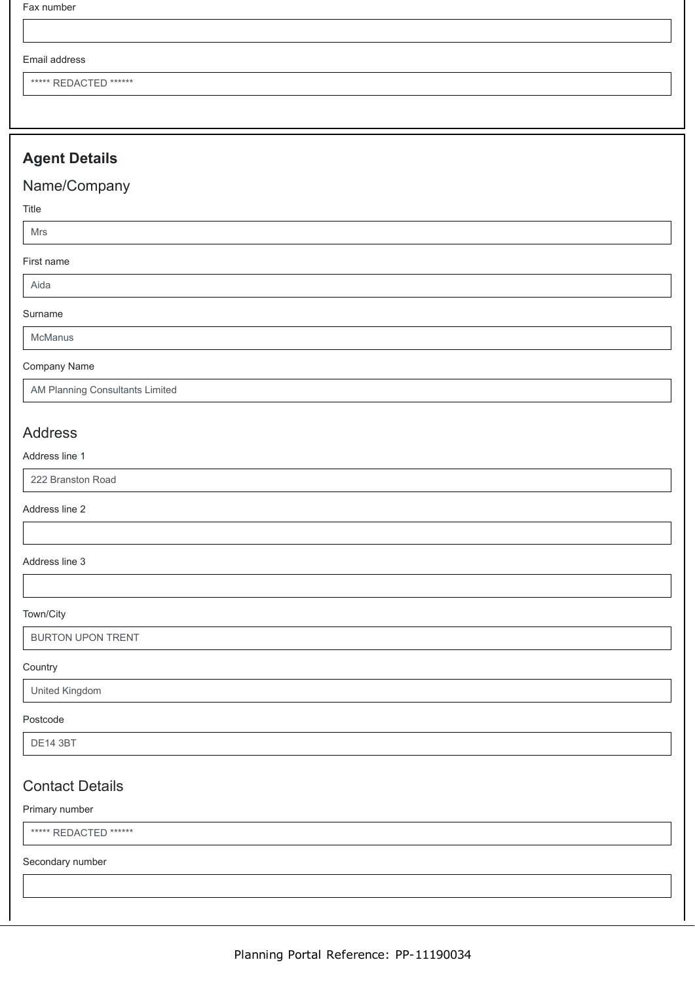Fax number

#### Email address

\*\*\*\*\* REDACTED \*\*\*\*\*\*

# **Agent Details**

# Name/Company

Title

Mrs

#### First name

Aida

Surname

McManus

#### Company Name

AM Planning Consultants Limited

# Address

#### Address line 1

222 Branston Road

#### Address line 2

#### Address line 3

Town/City

BURTON UPON TRENT

#### **Country**

#### United Kingdom

#### Postcode

DE14 3BT

# Contact Details

#### Primary number

\*\*\*\*\* REDACTED \*\*\*\*\*\*

Secondary number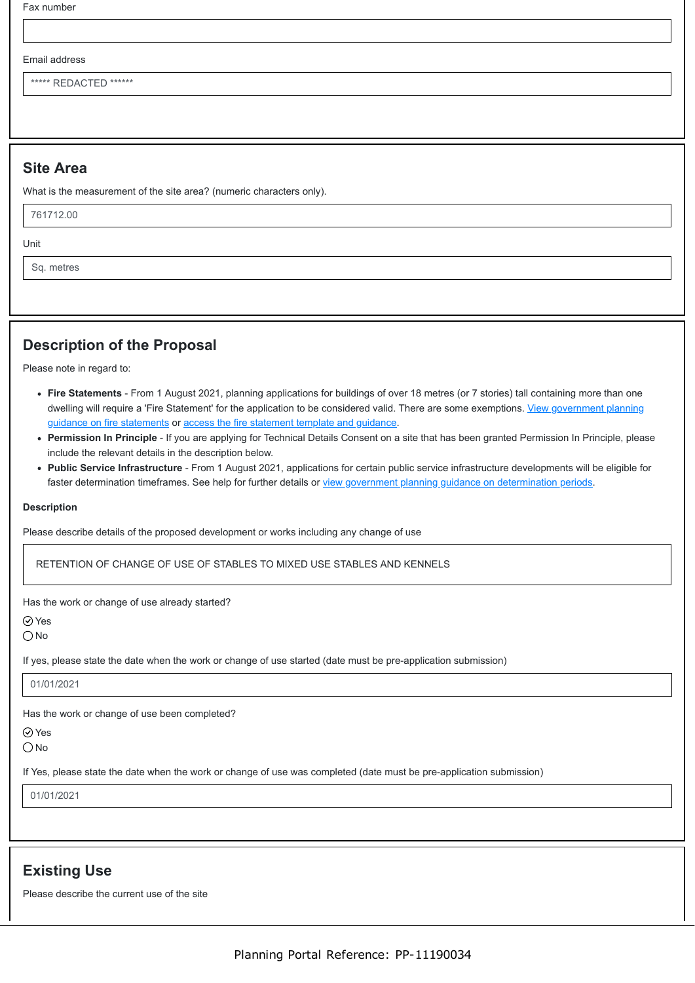Fax number

#### Email address

\*\*\*\*\*\* REDACTED \*\*\*\*\*\*

#### **Site Area**

What is the measurement of the site area? (numeric characters only).

761712.00

Unit

Sq. metres

# **Description of the Proposal**

Please note in regard to:

- **Fire Statements** From 1 August 2021, planning applications for buildings of over 18 metres (or 7 stories) tall containing more than one [dwelling will require a 'Fire Statement' for the application to be considered valid. There are some exemptions. View government planning](https://www.gov.uk/guidance/fire-safety-and-high-rise-residential-buildings-from-1-august-2021) guidance on fire statements or [access the fire statement template and guidance.](https://www.gov.uk/government/publications/planning-application-forms-templates-for-local-planning-authorities#attachment_5328788)
- **Permission In Principle** If you are applying for Technical Details Consent on a site that has been granted Permission In Principle, please include the relevant details in the description below.
- **Public Service Infrastructure** From 1 August 2021, applications for certain public service infrastructure developments will be eligible for faster determination timeframes. See help for further details or [view government planning guidance on determination periods](https://www.gov.uk/guidance/determining-a-planning-application#what-are-the-time-periods-for-determining-a-planning-application).

#### **Description**

Please describe details of the proposed development or works including any change of use

RETENTION OF CHANGE OF USE OF STABLES TO MIXED USE STABLES AND KENNELS

Has the work or change of use already started?

Yes

 $\bigcap$  No

If yes, please state the date when the work or change of use started (date must be pre-application submission)

#### 01/01/2021

Has the work or change of use been completed?

Yes

 $\bigcirc$  No

If Yes, please state the date when the work or change of use was completed (date must be pre-application submission)

01/01/2021

### **Existing Use**

Please describe the current use of the site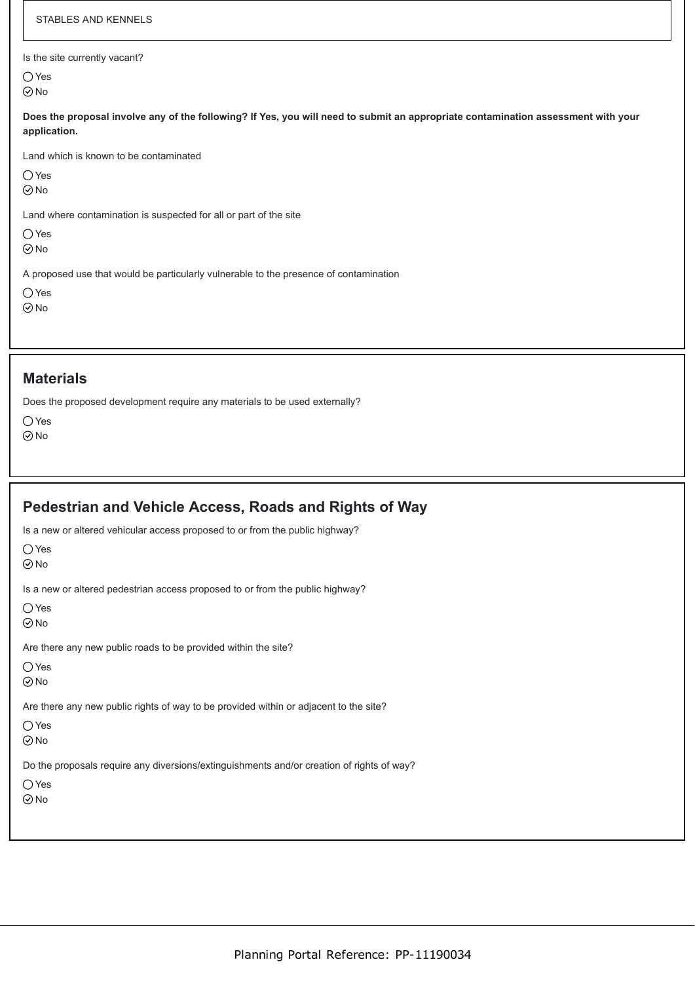| STABLES AND KENNELS                                                                                                                               |
|---------------------------------------------------------------------------------------------------------------------------------------------------|
| Is the site currently vacant?<br>$\bigcirc$ Yes<br>$\odot$ No                                                                                     |
| Does the proposal involve any of the following? If Yes, you will need to submit an appropriate contamination assessment with your<br>application. |
| Land which is known to be contaminated<br>$\bigcirc$ Yes<br>$\odot$ No                                                                            |
| Land where contamination is suspected for all or part of the site<br>$\bigcirc$ Yes<br>$\odot$ No                                                 |
| A proposed use that would be particularly vulnerable to the presence of contamination<br>$\bigcirc$ Yes<br>$\odot$ No                             |

#### **Materials**

Does the proposed development require any materials to be used externally?

| ,                       | Y    |
|-------------------------|------|
| $\widehat{\mathcal{C}}$ | 7) N |

| Pedestrian and Vehicle Access, Roads and Rights of Way                                                                    |
|---------------------------------------------------------------------------------------------------------------------------|
| Is a new or altered vehicular access proposed to or from the public highway?<br>$\bigcirc$ Yes<br>$\odot$ No              |
| Is a new or altered pedestrian access proposed to or from the public highway?<br>$\bigcirc$ Yes<br>$\odot$ No             |
| Are there any new public roads to be provided within the site?<br>$\bigcirc$ Yes<br>$\odot$ No                            |
| Are there any new public rights of way to be provided within or adjacent to the site?<br>$\bigcirc$ Yes<br>$\odot$ No     |
| Do the proposals require any diversions/extinguishments and/or creation of rights of way?<br>$\bigcirc$ Yes<br>$\odot$ No |
|                                                                                                                           |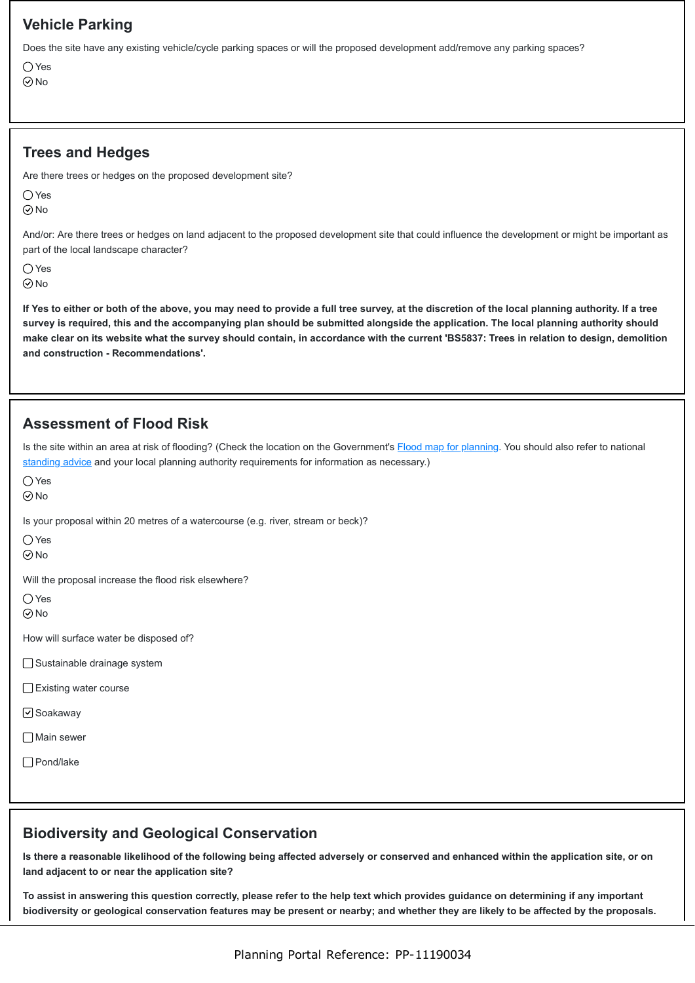# **Vehicle Parking**

Does the site have any existing vehicle/cycle parking spaces or will the proposed development add/remove any parking spaces?

 $\bigcap$  Yes No

# **Trees and Hedges**

Are there trees or hedges on the proposed development site?

 $\bigcap$  Yes **⊘No** 

And/or: Are there trees or hedges on land adjacent to the proposed development site that could influence the development or might be important as part of the local landscape character?

○Yes

 $\odot$ No

**If Yes to either or both of the above, you may need to provide a full tree survey, at the discretion of the local planning authority. If a tree survey is required, this and the accompanying plan should be submitted alongside the application. The local planning authority should make clear on its website what the survey should contain, in accordance with the current 'BS5837: Trees in relation to design, demolition and construction - Recommendations'.**

# **Assessment of Flood Risk**

Is the site within an area at risk of flooding? (Check the location on the Government's [Flood map for planning](https://flood-map-for-planning.service.gov.uk/). You should also refer to national [standing advice](https://www.gov.uk/guidance/flood-risk-assessment-standing-advice) and your local planning authority requirements for information as necessary.)

 $\bigcap$  Yes

 $\odot$ No

Is your proposal within 20 metres of a watercourse (e.g. river, stream or beck)?

○Yes

**⊘No** 

Will the proposal increase the flood risk elsewhere?

 $\bigcirc$  Yes  $\odot$ No

How will surface water be disposed of?

□ Sustainable drainage system

- □Existing water course
- **√**Soakaway

**□**Main sewer

□ Pond/lake

### **Biodiversity and Geological Conservation**

**Is there a reasonable likelihood of the following being affected adversely or conserved and enhanced within the application site, or on land adjacent to or near the application site?**

**To assist in answering this question correctly, please refer to the help text which provides guidance on determining if any important biodiversity or geological conservation features may be present or nearby; and whether they are likely to be affected by the proposals.**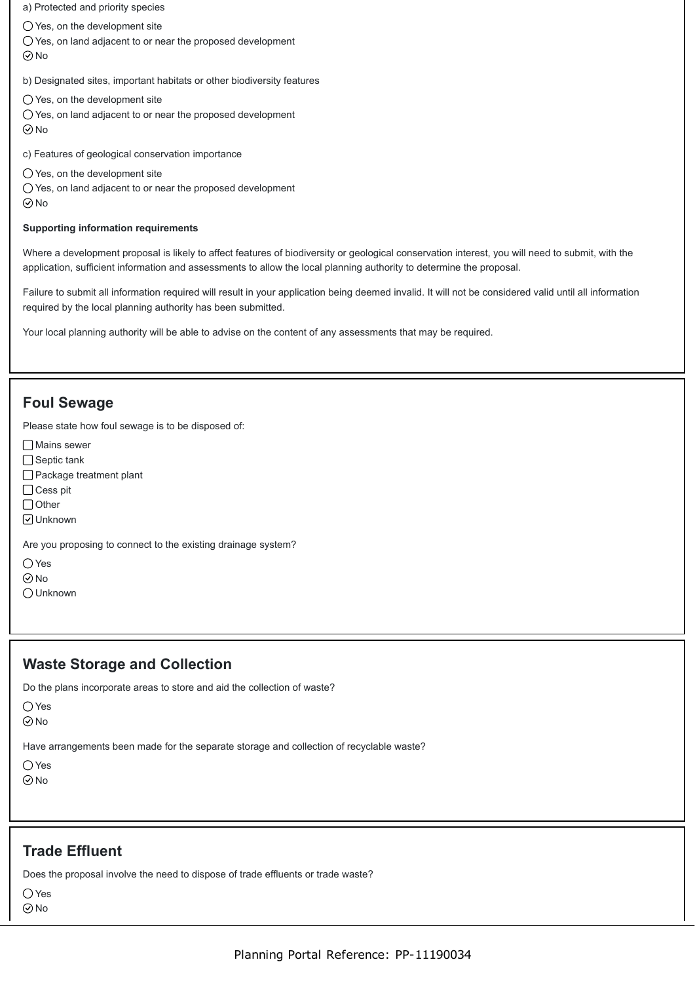a) Protected and priority species

 $\bigcirc$  Yes, on the development site

 $\bigcirc$  Yes, on land adjacent to or near the proposed development  $\odot$ No

b) Designated sites, important habitats or other biodiversity features

- $\bigcirc$  Yes, on the development site
- Yes, on land adjacent to or near the proposed development
- $\odot$ No

c) Features of geological conservation importance

- $\bigcirc$  Yes, on the development site
- Yes, on land adjacent to or near the proposed development
- $\odot$ No

#### **Supporting information requirements**

Where a development proposal is likely to affect features of biodiversity or geological conservation interest, you will need to submit, with the application, sufficient information and assessments to allow the local planning authority to determine the proposal.

Failure to submit all information required will result in your application being deemed invalid. It will not be considered valid until all information required by the local planning authority has been submitted.

Your local planning authority will be able to advise on the content of any assessments that may be required.

### **Foul Sewage**

Please state how foul sewage is to be disposed of:

- Mains sewer
- □ Septic tank
- □ Package treatment plant
- □ Cess pit
- $\Box$  Other
- Unknown

Are you proposing to connect to the existing drainage system?

- $\bigcap$  Yes
- **⊘**No
- Unknown

### **Waste Storage and Collection**

Do the plans incorporate areas to store and aid the collection of waste?

```
\bigcirc Yes
```
 $\odot$ No

Have arrangements been made for the separate storage and collection of recyclable waste?

```
\bigcap Yes
\odot No
```
### **Trade Effluent**

Does the proposal involve the need to dispose of trade effluents or trade waste?

Yes

No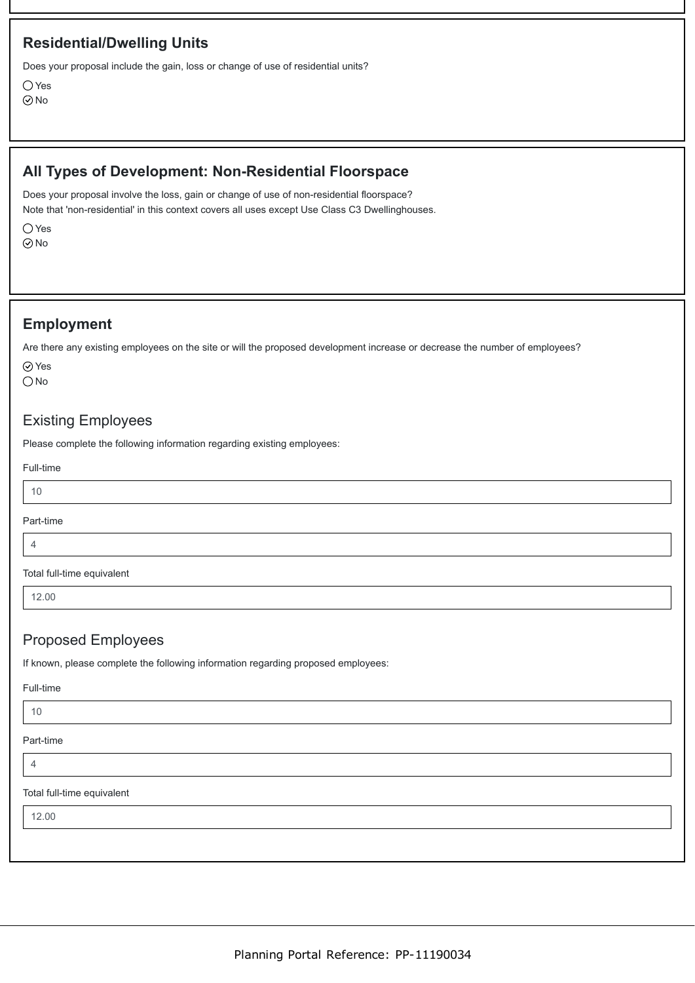# **Residential/Dwelling Units**

Does your proposal include the gain, loss or change of use of residential units?

 $\bigcap$  Yes  $\odot$ No

# **All Types of Development: Non-Residential Floorspace**

Does your proposal involve the loss, gain or change of use of non-residential floorspace? Note that 'non-residential' in this context covers all uses except Use Class C3 Dwellinghouses.

O Yes

⊙No

### **Employment**

Are there any existing employees on the site or will the proposed development increase or decrease the number of employees?

Yes ONo

Existing Employees

Please complete the following information regarding existing employees:

Full-time

10

#### Part-time

4

Total full-time equivalent

12.00

# Proposed Employees

If known, please complete the following information regarding proposed employees:

Full-time

10

Part-time

4

Total full-time equivalent

12.00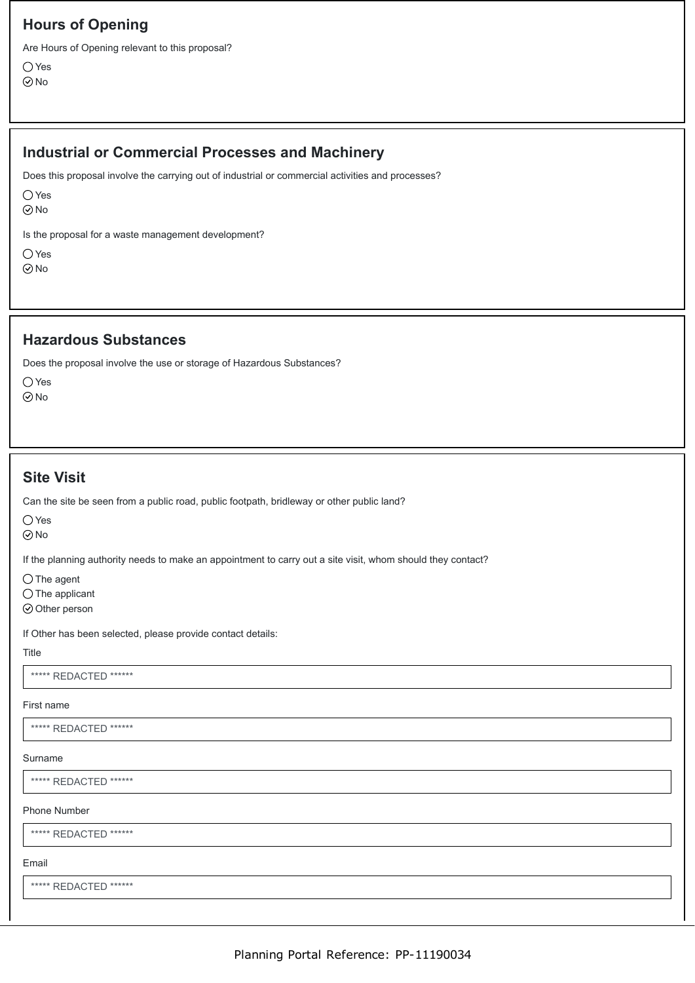# **Hours of Opening**

Are Hours of Opening relevant to this proposal?

○ Yes No

# **Industrial or Commercial Processes and Machinery**

Does this proposal involve the carrying out of industrial or commercial activities and processes?

 $\bigcirc$  Yes

 $\odot$ No

Is the proposal for a waste management development?

 $\bigcirc$  Yes No

#### **Hazardous Substances**

Does the proposal involve the use or storage of Hazardous Substances?

Yes  $\odot$ No

# **Site Visit**

Can the site be seen from a public road, public footpath, bridleway or other public land?

○Yes

No

If the planning authority needs to make an appointment to carry out a site visit, whom should they contact?

 $\bigcirc$  The agent

 $\bigcirc$  The applicant

 $\odot$  Other person

If Other has been selected, please provide contact details:

#### Title

\*\*\*\*\*\* REDACTED \*\*\*\*\*\*

#### First name

\*\*\*\*\*\* REDACTED \*\*\*\*\*\*

#### Surname

\*\*\*\*\*\* REDACTED \*\*\*\*\*\*

#### Phone Number

\*\*\*\*\* REDACTED \*\*\*\*\*\*

#### Email

\*\*\*\*\* REDACTED \*\*\*\*\*\*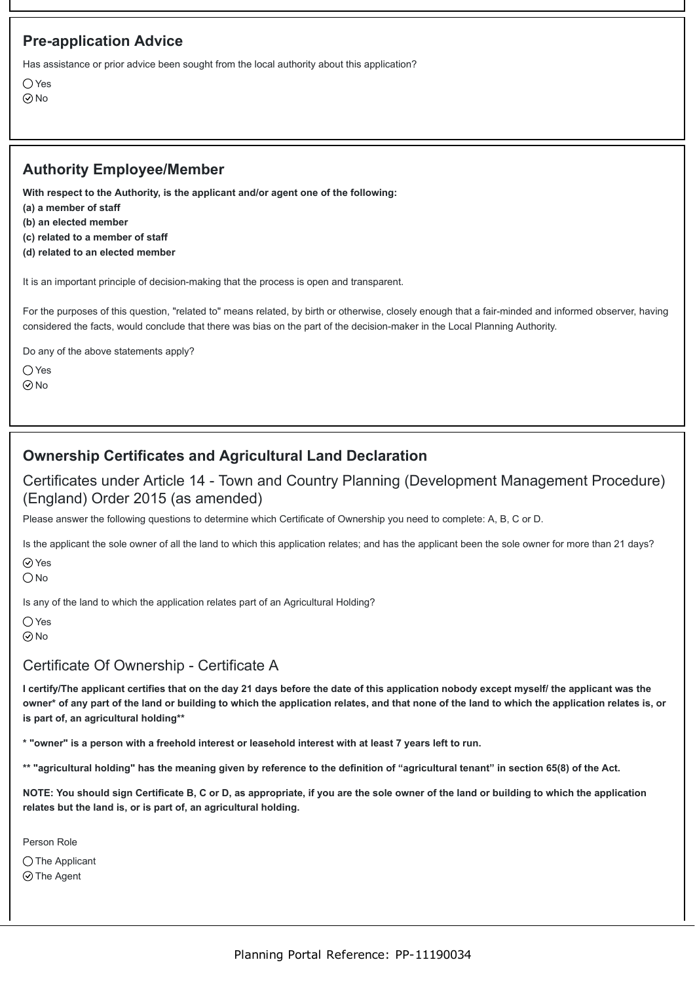# **Pre-application Advice**

Has assistance or prior advice been sought from the local authority about this application?

○Yes  $\odot$ No

# **Authority Employee/Member**

**With respect to the Authority, is the applicant and/or agent one of the following:**

- **(a) a member of staff**
- **(b) an elected member**
- **(c) related to a member of staff**
- **(d) related to an elected member**

It is an important principle of decision-making that the process is open and transparent.

For the purposes of this question, "related to" means related, by birth or otherwise, closely enough that a fair-minded and informed observer, having considered the facts, would conclude that there was bias on the part of the decision-maker in the Local Planning Authority.

Do any of the above statements apply?

○Yes

No

# **Ownership Certificates and Agricultural Land Declaration**

Certificates under Article 14 - Town and Country Planning (Development Management Procedure) (England) Order 2015 (as amended)

Please answer the following questions to determine which Certificate of Ownership you need to complete: A, B, C or D.

Is the applicant the sole owner of all the land to which this application relates; and has the applicant been the sole owner for more than 21 days?

**⊘**Yes

 $\bigcirc$  No

Is any of the land to which the application relates part of an Agricultural Holding?

 $\bigcap$  Yes

 $\odot$ No

# Certificate Of Ownership - Certificate A

**I certify/The applicant certifies that on the day 21 days before the date of this application nobody except myself/ the applicant was the owner\* of any part of the land or building to which the application relates, and that none of the land to which the application relates is, or is part of, an agricultural holding\*\***

**\* "owner" is a person with a freehold interest or leasehold interest with at least 7 years left to run.**

**\*\* "agricultural holding" has the meaning given by reference to the definition of "agricultural tenant" in section 65(8) of the Act.**

**NOTE: You should sign Certificate B, C or D, as appropriate, if you are the sole owner of the land or building to which the application relates but the land is, or is part of, an agricultural holding.**

Person Role

 $\bigcirc$  The Applicant

⊙ The Agent